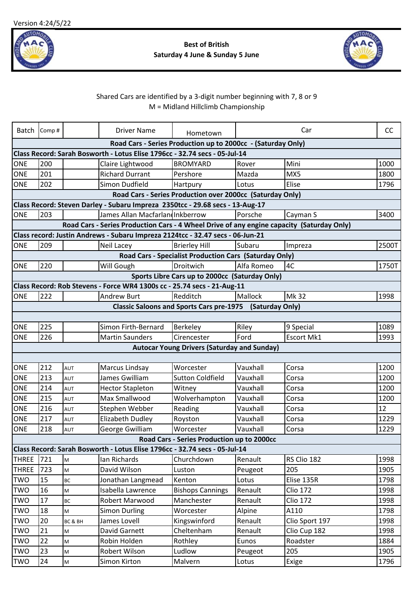

## **Best of British Saturday 4 June & Sunday 5 June**



## Shared Cars are identified by a 3-digit number beginning with 7, 8 or 9 M = Midland Hillclimb Championship

| Batch            | Comp#                                                                                                                                      |            | <b>Driver Name</b>                                                                        | Hometown                                                      |            | Car             | <b>CC</b> |  |
|------------------|--------------------------------------------------------------------------------------------------------------------------------------------|------------|-------------------------------------------------------------------------------------------|---------------------------------------------------------------|------------|-----------------|-----------|--|
|                  |                                                                                                                                            |            |                                                                                           |                                                               |            |                 |           |  |
|                  | Road Cars - Series Production up to 2000cc - (Saturday Only)<br>Class Record: Sarah Bosworth - Lotus Elise 1796cc - 32.74 secs - 05-Jul-14 |            |                                                                                           |                                                               |            |                 |           |  |
| <b>ONE</b>       | 200                                                                                                                                        |            | Claire Lightwood                                                                          | <b>BROMYARD</b>                                               | Rover      | Mini            | 1000      |  |
| <b>ONE</b>       | 201                                                                                                                                        |            | <b>Richard Durrant</b>                                                                    | Pershore                                                      | Mazda      | MX5             | 1800      |  |
| <b>ONE</b>       | 202                                                                                                                                        |            | Simon Dudfield                                                                            | Hartpury                                                      | Lotus      | Elise           | 1796      |  |
|                  |                                                                                                                                            |            |                                                                                           | Road Cars - Series Production over 2000cc (Saturday Only)     |            |                 |           |  |
|                  |                                                                                                                                            |            | Class Record: Steven Darley - Subaru Impreza 2350tcc - 29.68 secs - 13-Aug-17             |                                                               |            |                 |           |  |
| <b>ONE</b>       | 203                                                                                                                                        |            | James Allan Macfarlan Inkberrow                                                           |                                                               | Porsche    | Cayman S        | 3400      |  |
|                  |                                                                                                                                            |            | Road Cars - Series Production Cars - 4 Wheel Drive of any engine capacity (Saturday Only) |                                                               |            |                 |           |  |
|                  |                                                                                                                                            |            | Class record: Justin Andrews - Subaru Impreza 2124tcc - 32.47 secs - 06-Jun-21            |                                                               |            |                 |           |  |
| <b>ONE</b>       | 209                                                                                                                                        |            | <b>Neil Lacey</b>                                                                         | <b>Brierley Hill</b>                                          | Subaru     | Impreza         | 2500T     |  |
|                  |                                                                                                                                            |            |                                                                                           | <b>Road Cars - Specialist Production Cars (Saturday Only)</b> |            |                 |           |  |
| <b>ONE</b>       | 220                                                                                                                                        |            | Will Gough                                                                                | Droitwich                                                     | Alfa Romeo | 4C              | 1750T     |  |
|                  |                                                                                                                                            |            |                                                                                           | Sports Libre Cars up to 2000cc (Saturday Only)                |            |                 |           |  |
|                  |                                                                                                                                            |            | Class Record: Rob Stevens - Force WR4 1300s cc - 25.74 secs - 21-Aug-11                   |                                                               |            |                 |           |  |
| <b>ONE</b>       | 222                                                                                                                                        |            | <b>Andrew Burt</b>                                                                        | Redditch                                                      | Mallock    | Mk 32           | 1998      |  |
|                  |                                                                                                                                            |            |                                                                                           | Classic Saloons and Sports Cars pre-1975 (Saturday Only)      |            |                 |           |  |
|                  |                                                                                                                                            |            |                                                                                           |                                                               |            |                 |           |  |
| <b>ONE</b>       | 225                                                                                                                                        |            | Simon Firth-Bernard                                                                       | Berkeley                                                      | Riley      | 9 Special       | 1089      |  |
| <b>ONE</b>       | 226                                                                                                                                        |            | <b>Martin Saunders</b>                                                                    | Cirencester                                                   | Ford       | Escort Mk1      | 1993      |  |
|                  |                                                                                                                                            |            |                                                                                           | <b>Autocar Young Drivers (Saturday and Sunday)</b>            |            |                 |           |  |
|                  |                                                                                                                                            |            |                                                                                           |                                                               |            |                 |           |  |
| ONE              | 212                                                                                                                                        | <b>AUT</b> | Marcus Lindsay                                                                            | Worcester                                                     | Vauxhall   | Corsa           | 1200      |  |
| ONE              | 213                                                                                                                                        | AUT        | James Gwilliam                                                                            | <b>Sutton Coldfield</b>                                       | Vauxhall   | Corsa           | 1200      |  |
| <b>ONE</b>       | 214                                                                                                                                        | <b>AUT</b> | <b>Hector Stapleton</b>                                                                   | Witney                                                        | Vauxhall   | Corsa           | 1200      |  |
| <b>ONE</b>       | 215                                                                                                                                        | AUT        | Max Smallwood                                                                             | Wolverhampton                                                 | Vauxhall   | Corsa           | 1200      |  |
| <b>ONE</b>       | 216                                                                                                                                        | AUT        | Stephen Webber                                                                            | Reading                                                       | Vauxhall   | Corsa           | 12        |  |
| <b>ONE</b>       | 217                                                                                                                                        | <b>AUT</b> | <b>Elizabeth Dudley</b>                                                                   | Royston                                                       | Vauxhall   | Corsa           | 1229      |  |
| <b>ONE</b>       | 218                                                                                                                                        | AUT        | George Gwilliam                                                                           | Worcester                                                     | Vauxhall   | Corsa           | 1229      |  |
|                  |                                                                                                                                            |            |                                                                                           | Road Cars - Series Production up to 2000cc                    |            |                 |           |  |
|                  |                                                                                                                                            |            | Class Record: Sarah Bosworth - Lotus Elise 1796cc - 32.74 secs - 05-Jul-14                |                                                               |            |                 |           |  |
| <b>THREE</b> 721 |                                                                                                                                            | Iм         | Ian Richards                                                                              | Churchdown                                                    | Renault    | RS Clio 182     | 1998      |  |
| <b>THREE</b>     | 723                                                                                                                                        | M          | David Wilson                                                                              | Luston                                                        | Peugeot    | 205             | 1905      |  |
| <b>TWO</b>       | 15                                                                                                                                         | ВC         | Jonathan Langmead                                                                         | Kenton                                                        | Lotus      | Elise 135R      | 1798      |  |
| <b>TWO</b>       | 16                                                                                                                                         | M          | Isabella Lawrence                                                                         | <b>Bishops Cannings</b>                                       | Renault    | <b>Clio 172</b> | 1998      |  |
| <b>TWO</b>       | 17                                                                                                                                         | <b>BC</b>  | Robert Marwood                                                                            | Manchester                                                    | Renault    | <b>Clio 172</b> | 1998      |  |
| <b>TWO</b>       | 18                                                                                                                                         | M          | <b>Simon Durling</b>                                                                      | Worcester                                                     | Alpine     | A110            | 1798      |  |
| <b>TWO</b>       | 20                                                                                                                                         | BC & BH    | James Lovell                                                                              | Kingswinford                                                  | Renault    | Clio Sport 197  | 1998      |  |
| <b>TWO</b>       | 21                                                                                                                                         | M          | David Garnett                                                                             | Cheltenham                                                    | Renault    | Clio Cup 182    | 1998      |  |
| <b>TWO</b>       | 22                                                                                                                                         | M          | Robin Holden                                                                              | Rothley                                                       | Eunos      | Roadster        | 1884      |  |
| <b>TWO</b>       | 23                                                                                                                                         | M          | Robert Wilson                                                                             | Ludlow                                                        | Peugeot    | 205             | 1905      |  |
| <b>TWO</b>       | 24                                                                                                                                         | M          | Simon Kirton                                                                              | Malvern                                                       | Lotus      | Exige           | 1796      |  |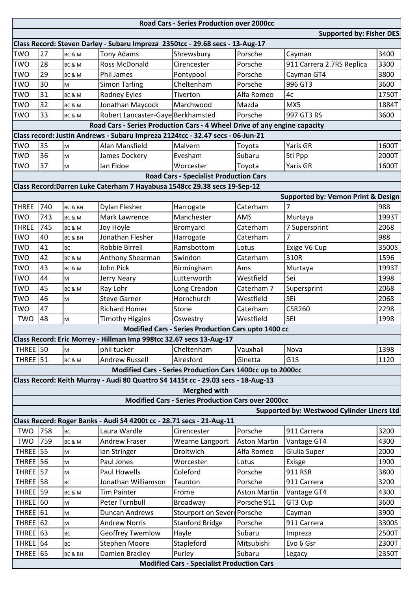| <b>Road Cars - Series Production over 2000cc</b>  |     |           |                                                                                   |                                                            |                     |                                            |       |  |  |
|---------------------------------------------------|-----|-----------|-----------------------------------------------------------------------------------|------------------------------------------------------------|---------------------|--------------------------------------------|-------|--|--|
| <b>Supported by: Fisher DES</b>                   |     |           |                                                                                   |                                                            |                     |                                            |       |  |  |
|                                                   |     |           | Class Record: Steven Darley - Subaru Impreza 2350tcc - 29.68 secs - 13-Aug-17     |                                                            |                     |                                            |       |  |  |
| <b>TWO</b>                                        | 27  | BC & M    | <b>Tony Adams</b>                                                                 | Shrewsbury                                                 | Porsche             | Cayman                                     | 3400  |  |  |
| <b>TWO</b>                                        | 28  | BC & M    | <b>Ross McDonald</b>                                                              | Cirencester                                                | Porsche             | 911 Carrera 2.7RS Replica                  | 3300  |  |  |
| <b>TWO</b>                                        | 29  | BC & M    | <b>Phil James</b>                                                                 | Pontypool                                                  | Porsche             | Cayman GT4                                 | 3800  |  |  |
| <b>TWO</b>                                        | 30  | M         | <b>Simon Tarling</b>                                                              | Cheltenham                                                 | Porsche             | 996 GT3                                    | 3600  |  |  |
| TWO                                               | 31  | BC & M    | Rodney Eyles                                                                      | Tiverton                                                   | Alfa Romeo          | 4c                                         | 1750T |  |  |
| <b>TWO</b>                                        | 32  | BC & M    | Jonathan Maycock                                                                  | Marchwood                                                  | Mazda               | MX5                                        | 1884T |  |  |
| <b>TWO</b>                                        | 33  | BC & M    | Robert Lancaster-Gaye Berkhamsted                                                 |                                                            | Porsche             | 997 GT3 RS                                 | 3600  |  |  |
|                                                   |     |           | Road Cars - Series Production Cars - 4 Wheel Drive of any engine capacity         |                                                            |                     |                                            |       |  |  |
|                                                   |     |           | Class record: Justin Andrews - Subaru Impreza 2124tcc - 32.47 secs - 06-Jun-21    |                                                            |                     |                                            |       |  |  |
| <b>TWO</b>                                        | 35  | M         | Alan Mansfield                                                                    | Malvern                                                    | Toyota              | Yaris GR                                   | 1600T |  |  |
| <b>TWO</b>                                        | 36  | M         | James Dockery                                                                     | Evesham                                                    | Subaru              | Sti Ppp                                    | 2000T |  |  |
| <b>TWO</b>                                        | 37  | M         | Ian Fidoe                                                                         | Worcester                                                  | Toyota              | Yaris GR                                   | 1600T |  |  |
|                                                   |     |           |                                                                                   | <b>Road Cars - Specialist Production Cars</b>              |                     |                                            |       |  |  |
|                                                   |     |           | Class Record: Darren Luke Caterham 7 Hayabusa 1548cc 29.38 secs 19-Sep-12         |                                                            |                     |                                            |       |  |  |
|                                                   |     |           |                                                                                   |                                                            |                     | Supported by: Vernon Print & Design        |       |  |  |
| <b>THREE</b>                                      | 740 | BC & BH   | Dylan Flesher                                                                     | Harrogate                                                  | Caterham            |                                            | 988   |  |  |
| <b>TWO</b>                                        | 743 | BC & M    | Mark Lawrence                                                                     | Manchester                                                 | AMS                 | Murtaya                                    | 1993T |  |  |
| <b>THREE</b>                                      | 745 | BC & M    | Joy Hoyle                                                                         | Bromyard                                                   | Caterham            | 7 Supersprint                              | 2068  |  |  |
| <b>TWO</b>                                        | 40  | BC & BH   | Jonathan Flesher                                                                  | Harrogate                                                  | Caterham            |                                            | 988   |  |  |
| <b>TWO</b>                                        | 41  | <b>BC</b> | <b>Robbie Birrell</b>                                                             | Ramsbottom                                                 | Lotus               | Exige V6 Cup                               | 3500S |  |  |
| <b>TWO</b>                                        | 42  | BC&M      | Anthony Shearman                                                                  | Swindon                                                    | Caterham            | 310R                                       | 1596  |  |  |
| <b>TWO</b>                                        | 43  | BC & M    | John Pick                                                                         | Birmingham                                                 | Ams                 | Murtaya                                    | 1993T |  |  |
| TWO                                               | 44  | M         | Jerry Neary                                                                       | Lutterworth                                                | Westfield           | Sei                                        | 1998  |  |  |
| <b>TWO</b>                                        | 45  | BC & M    | Ray Lohr                                                                          | Long Crendon                                               | Caterham 7          | Supersprint                                | 2068  |  |  |
| <b>TWO</b>                                        | 46  | M         | <b>Steve Garner</b>                                                               | Hornchurch                                                 | Westfield           | SEi                                        | 2068  |  |  |
| <b>TWO</b>                                        | 47  |           | <b>Richard Homer</b>                                                              | Stone                                                      | Caterham            | <b>CSR260</b>                              | 2298  |  |  |
| <b>TWO</b>                                        | 48  | M         | <b>Timothy Higgins</b>                                                            | Oswestry                                                   | Westfield           | <b>SEI</b>                                 | 1998  |  |  |
|                                                   |     |           |                                                                                   | <b>Modified Cars - Series Production Cars upto 1400 cc</b> |                     |                                            |       |  |  |
|                                                   |     |           | Class Record: Eric Morrey - Hillman Imp 998tcc 32.67 secs 13-Aug-17               |                                                            |                     |                                            |       |  |  |
| THREE 50                                          |     | M         | phil tucker                                                                       | Cheltenham                                                 | Vauxhall            | Nova                                       | 1398  |  |  |
| <b>THREE</b> 51                                   |     | BC&M      | <b>Andrew Russell</b>                                                             | Alresford                                                  | Ginetta             | G15                                        | 1120  |  |  |
|                                                   |     |           |                                                                                   | Modified Cars - Series Production Cars 1400cc up to 2000cc |                     |                                            |       |  |  |
|                                                   |     |           | Class Record: Keith Murray - Audi 80 Quattro S4 1415t cc - 29.03 secs - 18-Aug-13 |                                                            |                     |                                            |       |  |  |
|                                                   |     |           |                                                                                   | <b>Merghed with</b>                                        |                     |                                            |       |  |  |
|                                                   |     |           |                                                                                   | <b>Modified Cars - Series Production Cars over 2000cc</b>  |                     |                                            |       |  |  |
|                                                   |     |           |                                                                                   |                                                            |                     | Supported by: Westwood Cylinder Liners Ltd |       |  |  |
|                                                   |     |           | Class Record: Roger Banks - Audi S4 4200t cc - 28.71 secs - 21-Aug-11             |                                                            |                     |                                            |       |  |  |
| <b>TWO</b>                                        | 758 | <b>BC</b> | Laura Wardle                                                                      | Cirencester                                                | Porsche             | 911 Carrera                                | 3200  |  |  |
| <b>TWO</b>                                        | 759 | BC & M    | <b>Andrew Fraser</b>                                                              | Wearne Langport                                            | <b>Aston Martin</b> | Vantage GT4                                | 4300  |  |  |
| <b>THREE</b> 55                                   |     | M         | Ian Stringer                                                                      | Droitwich                                                  | Alfa Romeo          | Giulia Super                               | 2000  |  |  |
| <b>THREE</b> 56                                   |     | M         | Paul Jones                                                                        | Worcester                                                  | Lotus               | Exisge                                     | 1900  |  |  |
| <b>THREE</b> 57                                   |     | M         | <b>Paul Howells</b>                                                               | Coleford                                                   | Porsche             | 911 RSR                                    | 3800  |  |  |
| THREE 58                                          |     | <b>BC</b> | Jonathan Williamson                                                               | Taunton                                                    | Porsche             | 911 Carrera                                | 3200  |  |  |
| <b>THREE</b> 59                                   |     | BC & M    | <b>Tim Painter</b>                                                                | Frome                                                      | <b>Aston Martin</b> | Vantage GT4                                | 4300  |  |  |
| <b>THREE</b> 60                                   |     | M         | Peter Turnbull                                                                    | Broadway                                                   | Porsche 911         | GT3 Cup                                    | 3600  |  |  |
| <b>THREE</b> 61                                   |     | M         | <b>Duncan Andrews</b>                                                             | Stourport on Severn Porsche                                |                     | Cayman                                     | 3900  |  |  |
| <b>THREE</b> 62                                   |     | M         | <b>Andrew Norris</b>                                                              | <b>Stanford Bridge</b>                                     | Porsche             | 911 Carrera                                | 3300S |  |  |
| <b>THREE</b> 63                                   |     | <b>BC</b> | Geoffrey Twemlow                                                                  | Hayle                                                      | Subaru              | Impreza                                    | 2500T |  |  |
| <b>THREE</b> 64                                   |     | <b>BC</b> | <b>Stephen Moore</b>                                                              | Stapleford                                                 | Mitsubishi          | Evo 6 Gsr                                  | 2300T |  |  |
| <b>THREE</b> 65                                   |     | BC & BH   | Damien Bradley                                                                    | Purley                                                     | Subaru              | Legacy                                     | 2350T |  |  |
| <b>Modified Cars - Specialist Production Cars</b> |     |           |                                                                                   |                                                            |                     |                                            |       |  |  |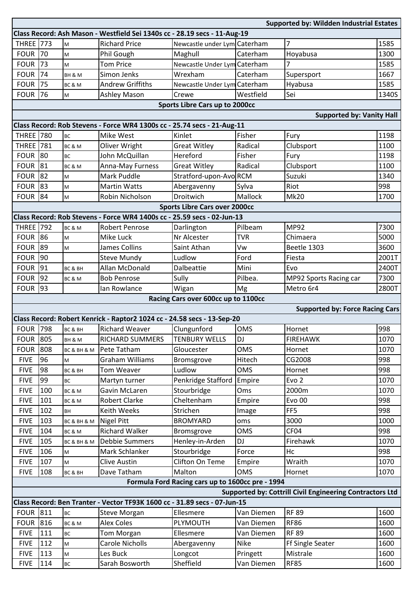| <b>Supported by: Wildden Industrial Estates</b>                           |            |             |                                                                         |                                      |                        |                                        |              |  |  |
|---------------------------------------------------------------------------|------------|-------------|-------------------------------------------------------------------------|--------------------------------------|------------------------|----------------------------------------|--------------|--|--|
| Class Record: Ash Mason - Westfield Sei 1340s cc - 28.19 secs - 11-Aug-19 |            |             |                                                                         |                                      |                        |                                        |              |  |  |
| <b>THREE</b> 773                                                          |            | M           | <b>Richard Price</b>                                                    | Newcastle under Lym Caterham         |                        | 7                                      | 1585         |  |  |
| <b>FOUR</b>                                                               | 70         | M           | Phil Gough                                                              | Maghull                              | Caterham               | Hoyabusa                               | 1300         |  |  |
| <b>FOUR</b>                                                               | 73         | M           | <b>Tom Price</b>                                                        | Newcastle Under Lym Caterham         |                        | 7                                      | 1585         |  |  |
| <b>FOUR</b>                                                               | 74         | BH & M      | Simon Jenks                                                             | Wrexham                              | Caterham               | Supersport                             | 1667         |  |  |
| <b>FOUR</b>                                                               | 75         | BC & M      | <b>Andrew Griffiths</b>                                                 | Newcastle Under Lym Caterham         |                        | Hyabusa                                | 1585         |  |  |
| <b>FOUR</b>                                                               | 76         | M           | Ashley Mason                                                            | Crewe                                | Westfield              | Sei                                    | 1340S        |  |  |
|                                                                           |            |             |                                                                         | Sports Libre Cars up to 2000cc       |                        |                                        |              |  |  |
|                                                                           |            |             |                                                                         |                                      |                        | <b>Supported by: Vanity Hall</b>       |              |  |  |
|                                                                           |            |             | Class Record: Rob Stevens - Force WR4 1300s cc - 25.74 secs - 21-Aug-11 |                                      |                        |                                        |              |  |  |
| <b>THREE</b> 780                                                          |            | <b>BC</b>   | Mike West                                                               | Kinlet                               | Fisher                 | Fury                                   | 1198         |  |  |
| <b>THREE</b> 781                                                          |            | BC&M        | Oliver Wright                                                           | <b>Great Witley</b>                  | Radical                | Clubsport                              | 1100         |  |  |
| <b>FOUR</b>                                                               | 80         | <b>BC</b>   | John McQuillan                                                          | Hereford                             | Fisher                 | Fury                                   | 1198         |  |  |
| <b>FOUR</b>                                                               | 81         | BC & M      | Anna-May Furness                                                        | <b>Great Witley</b>                  | Radical                | Clubsport                              | 1100         |  |  |
| <b>FOUR</b>                                                               | 82         | M           | Mark Puddle                                                             | Stratford-upon-AvoRCM                |                        | Suzuki                                 | 1340         |  |  |
| <b>FOUR</b>                                                               | 83         | M           | <b>Martin Watts</b>                                                     | Abergavenny                          | Sylva                  | Riot                                   | 998          |  |  |
| <b>FOUR</b>                                                               | 84         | M           | Robin Nicholson                                                         | Droitwich                            | Mallock                | <b>Mk20</b>                            | 1700         |  |  |
|                                                                           |            |             |                                                                         | <b>Sports Libre Cars over 2000cc</b> |                        |                                        |              |  |  |
|                                                                           |            |             | Class Record: Rob Stevens - Force WR4 1400s cc - 25.59 secs - 02-Jun-13 |                                      |                        |                                        |              |  |  |
| <b>THREE</b> 792                                                          |            | BC&M        | <b>Robert Penrose</b>                                                   | Darlington                           | Pilbeam                | <b>MP92</b>                            | 7300         |  |  |
| <b>FOUR</b>                                                               | 86         | M           | Mike Luck                                                               | Nr Alcester                          | <b>TVR</b>             | Chimaera                               | 5000         |  |  |
| <b>FOUR</b>                                                               | 89         | M           | James Collins                                                           | Saint Athan                          | Vw                     | Beetle 1303                            | 3600         |  |  |
| <b>FOUR</b>                                                               | 90         |             | <b>Steve Mundy</b>                                                      | Ludlow                               | Ford                   | Fiesta                                 | 2001T        |  |  |
| <b>FOUR</b>                                                               | 91         | BC & BH     | Allan McDonald                                                          | Dalbeattie                           | Mini                   | Evo                                    | 2400T        |  |  |
| <b>FOUR</b>                                                               | 92         | BC & M      | <b>Bob Penrose</b>                                                      | Sully                                | Pilbea.                | MP92 Sports Racing car                 | 7300         |  |  |
| <b>FOUR</b>                                                               | 93         |             | Ian Rowlance                                                            | Wigan                                | Mg                     | Metro 6r4                              | 2800T        |  |  |
|                                                                           |            |             |                                                                         | Racing Cars over 600cc up to 1100cc  |                        |                                        |              |  |  |
|                                                                           |            |             |                                                                         |                                      |                        | <b>Supported by: Force Racing Cars</b> |              |  |  |
|                                                                           |            |             | Class Record: Robert Kenrick - Raptor2 1024 cc - 24.58 secs - 13-Sep-20 |                                      |                        |                                        |              |  |  |
| <b>FOUR 798</b>                                                           |            | BC & BH     | <b>Richard Weaver</b>                                                   | Clungunford                          | <b>OMS</b>             | Hornet                                 | 998          |  |  |
| <b>FOUR</b>                                                               | 805        | BH & M      | RICHARD SUMMERS                                                         | <b>TENBURY WELLS</b>                 | <b>DJ</b>              | <b>FIREHAWK</b>                        | 1070         |  |  |
| <b>FOUR</b>                                                               | 808        | BC & BH & M | Pete Tatham                                                             | Gloucester                           | <b>OMS</b>             | Hornet                                 | 1070         |  |  |
| <b>FIVE</b>                                                               | 96         | M           | <b>Graham Williams</b>                                                  | Bromsgrove                           | Hitech                 | CG2008                                 | 998          |  |  |
| <b>FIVE</b>                                                               | 98         | BC & BH     | Tom Weaver                                                              | Ludlow                               | <b>OMS</b>             | Hornet                                 | 998          |  |  |
| <b>FIVE</b>                                                               | 99         | BC          | Martyn turner                                                           | Penkridge Stafford                   | Empire                 | Evo <sub>2</sub>                       | 1070         |  |  |
| <b>FIVE</b>                                                               | 100        | BC & M      | Gavin McLaren                                                           | Stourbridge                          | Oms                    | 2000m                                  | 1070         |  |  |
| <b>FIVE</b>                                                               | 101        | BC & M      | <b>Robert Clarke</b>                                                    | Cheltenham                           | Empire                 | <b>Evo 00</b>                          | 998          |  |  |
| <b>FIVE</b>                                                               | 102        | BH          | Keith Weeks                                                             | Strichen                             | Image                  | FF <sub>5</sub>                        | 998          |  |  |
| <b>FIVE</b>                                                               | 103        | BC & BH & M | <b>Nigel Pitt</b>                                                       | <b>BROMYARD</b>                      | oms                    | 3000                                   | 1000         |  |  |
| <b>FIVE</b>                                                               | 104        | BC & M      | Richard Walker                                                          | Bromsgrove                           | OMS                    | CF04                                   | 998          |  |  |
| <b>FIVE</b>                                                               | 105        | BC & BH & M | <b>Debbie Summers</b>                                                   | Henley-in-Arden                      | DJ                     | Firehawk                               | 1070         |  |  |
| <b>FIVE</b>                                                               | 106        | M           | Mark Schlanker                                                          | Stourbridge                          | Force                  | Hc                                     | 998          |  |  |
| <b>FIVE</b>                                                               | 107        | M           | <b>Clive Austin</b>                                                     | Clifton On Teme                      | Empire                 | Wraith                                 | 1070         |  |  |
| <b>FIVE</b>                                                               | 108        | BC & BH     | Dave Tatham                                                             | Malton                               | <b>OMS</b>             | Hornet                                 | 1070         |  |  |
| Formula Ford Racing cars up to 1600cc pre - 1994                          |            |             |                                                                         |                                      |                        |                                        |              |  |  |
| Supported by: Cottrill Civil Engineering Contractors Ltd                  |            |             |                                                                         |                                      |                        |                                        |              |  |  |
| Class Record: Ben Tranter - Vector TF93K 1600 cc - 31.89 secs - 07-Jun-15 |            |             |                                                                         |                                      |                        |                                        |              |  |  |
| <b>FOUR 811</b>                                                           |            | <b>BC</b>   | <b>Steve Morgan</b>                                                     | Ellesmere                            | Van Diemen             | <b>RF 89</b>                           | 1600         |  |  |
| <b>FOUR 816</b>                                                           |            | BC & M      | <b>Alex Coles</b>                                                       | PLYMOUTH                             | Van Diemen             | <b>RF86</b>                            | 1600         |  |  |
| <b>FIVE</b>                                                               |            |             |                                                                         |                                      |                        |                                        |              |  |  |
|                                                                           | 111        | BC          | <b>Tom Morgan</b>                                                       | Ellesmere                            | Van Diemen             | <b>RF 89</b>                           | 1600         |  |  |
| <b>FIVE</b>                                                               | 112        | M           | <b>Carole Nicholls</b>                                                  | Abergavenny                          | <b>Nike</b>            | Ff Single Seater                       | 1600         |  |  |
| <b>FIVE</b><br><b>FIVE</b>                                                | 113<br>114 | M<br>ВC     | Les Buck<br>Sarah Bosworth                                              | Longcot<br>Sheffield                 | Pringett<br>Van Diemen | Mistrale<br><b>RF85</b>                | 1600<br>1600 |  |  |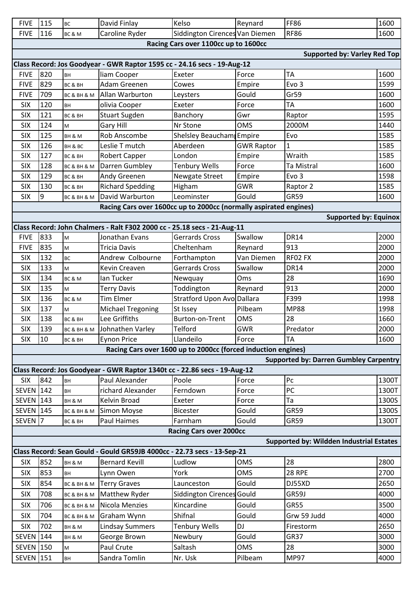| <b>FIVE</b>                                                   | 115                                                                     | <b>BC</b>   | David Finlay                                                              | Kelso                                | Reynard           | <b>FF86</b>                                   | 1600  |  |  |
|---------------------------------------------------------------|-------------------------------------------------------------------------|-------------|---------------------------------------------------------------------------|--------------------------------------|-------------------|-----------------------------------------------|-------|--|--|
| <b>FIVE</b>                                                   | 116                                                                     | BC&M        | Caroline Ryder                                                            | Siddington Cirences Van Diemen       |                   | <b>RF86</b>                                   | 1600  |  |  |
|                                                               |                                                                         |             |                                                                           | Racing Cars over 1100cc up to 1600cc |                   |                                               |       |  |  |
|                                                               |                                                                         |             |                                                                           |                                      |                   | <b>Supported by: Varley Red Top</b>           |       |  |  |
|                                                               |                                                                         |             | Class Record: Jos Goodyear - GWR Raptor 1595 cc - 24.16 secs - 19-Aug-12  |                                      |                   |                                               |       |  |  |
| <b>FIVE</b>                                                   | 820                                                                     | <b>BH</b>   | liam Cooper                                                               | Exeter                               | Force             | <b>TA</b>                                     | 1600  |  |  |
| <b>FIVE</b>                                                   | 829                                                                     | BC & BH     | Adam Greenen                                                              | Cowes                                | Empire            | Evo <sub>3</sub>                              | 1599  |  |  |
| <b>FIVE</b>                                                   | 709                                                                     | BC & BH & M | Allan Warburton                                                           | Leysters                             | Gould             | Gr59                                          | 1600  |  |  |
| <b>SIX</b>                                                    | 120                                                                     | BH          | olivia Cooper                                                             | Exeter                               | Force             | <b>TA</b>                                     | 1600  |  |  |
| <b>SIX</b>                                                    | 121                                                                     | BC & BH     | <b>Stuart Sugden</b>                                                      | Banchory                             | Gwr               | Raptor                                        | 1595  |  |  |
| <b>SIX</b>                                                    | 124                                                                     | M           | Gary Hill                                                                 | Nr Stone                             | <b>OMS</b>        | 2000M                                         | 1440  |  |  |
| <b>SIX</b>                                                    | 125                                                                     | BH & M      | <b>Rob Anscombe</b>                                                       | Shelsley Beaucham Empire             |                   | Evo                                           | 1585  |  |  |
| <b>SIX</b>                                                    | 126                                                                     | BH & BC     | Leslie T mutch                                                            | Aberdeen                             | <b>GWR Raptor</b> | 1                                             | 1585  |  |  |
| <b>SIX</b>                                                    | 127                                                                     | BC & BH     | <b>Robert Capper</b>                                                      | London                               | Empire            | Wraith                                        | 1585  |  |  |
| <b>SIX</b>                                                    | 128                                                                     | BC & BH & M | Darren Gumbley                                                            | <b>Tenbury Wells</b>                 | Force             | Ta Mistral                                    | 1600  |  |  |
| <b>SIX</b>                                                    | 129                                                                     | BC & BH     | Andy Greenen                                                              | Newgate Street                       | Empire            | Evo <sub>3</sub>                              | 1598  |  |  |
| <b>SIX</b>                                                    | 130                                                                     | BC & BH     | <b>Richard Spedding</b>                                                   | Higham                               | <b>GWR</b>        | Raptor 2                                      | 1585  |  |  |
| <b>SIX</b>                                                    | 9                                                                       | BC & BH & M | David Warburton                                                           | Leominster                           | Gould             | GR59                                          | 1600  |  |  |
|                                                               |                                                                         |             | Racing Cars over 1600cc up to 2000cc (normally aspirated engines)         |                                      |                   |                                               |       |  |  |
|                                                               |                                                                         |             |                                                                           |                                      |                   | <b>Supported by: Equinox</b>                  |       |  |  |
|                                                               |                                                                         |             | Class Record: John Chalmers - Ralt F302 2000 cc - 25.18 secs - 21-Aug-11  |                                      |                   |                                               |       |  |  |
| <b>FIVE</b>                                                   | 833                                                                     | M           | Jonathan Evans                                                            | Gerrards Cross                       | Swallow           | <b>DR14</b>                                   | 2000  |  |  |
| <b>FIVE</b>                                                   | 835                                                                     | M           | <b>Tricia Davis</b>                                                       | Cheltenham                           | Reynard           | 913                                           | 2000  |  |  |
| <b>SIX</b>                                                    | 132                                                                     | <b>BC</b>   | Andrew Colbourne                                                          | Forthampton                          | Van Diemen        | RF02 FX                                       | 2000  |  |  |
| <b>SIX</b>                                                    | 133                                                                     | M           | Kevin Creaven                                                             | Gerrards Cross                       | Swallow           | <b>DR14</b>                                   | 2000  |  |  |
| <b>SIX</b>                                                    | 134                                                                     | BC&M        | lan Tucker                                                                | Newquay                              | Oms               | 28                                            | 1690  |  |  |
| <b>SIX</b>                                                    | 135                                                                     | M           | <b>Terry Davis</b>                                                        | Toddington                           | Reynard           | 913                                           | 2000  |  |  |
| <b>SIX</b>                                                    | 136                                                                     | BC & M      | <b>Tim Elmer</b>                                                          | Stratford Upon Avo Dallara           |                   | F399                                          | 1998  |  |  |
| <b>SIX</b>                                                    | 137                                                                     | M           | <b>Michael Tregoning</b>                                                  | St Issey                             | Pilbeam           | <b>MP88</b>                                   | 1998  |  |  |
| <b>SIX</b>                                                    | 138                                                                     | BC & BH     | Lee Griffiths                                                             | <b>Burton-on-Trent</b>               | <b>OMS</b>        | 28                                            | 1660  |  |  |
| <b>SIX</b>                                                    | 139                                                                     | BC & BH & M | Johnathen Varley                                                          | Telford                              | <b>GWR</b>        | Predator                                      | 2000  |  |  |
| <b>SIX</b>                                                    | 10                                                                      | BC & BH     | <b>Eynon Price</b>                                                        | Llandeilo                            | Force             | <b>TA</b>                                     | 1600  |  |  |
| Racing Cars over 1600 up to 2000cc (forced induction engines) |                                                                         |             |                                                                           |                                      |                   |                                               |       |  |  |
|                                                               |                                                                         |             |                                                                           |                                      |                   | <b>Supported by: Darren Gumbley Carpentry</b> |       |  |  |
|                                                               |                                                                         |             | Class Record: Jos Goodyear - GWR Raptor 1340t cc - 22.86 secs - 19-Aug-12 |                                      |                   |                                               |       |  |  |
| <b>SIX</b>                                                    | 842                                                                     | BH          | Paul Alexander                                                            | Poole                                | Force             | Pc                                            | 1300T |  |  |
| <b>SEVEN</b> 142                                              |                                                                         | BH          | richard Alexander                                                         | Ferndown                             | Force             | PC                                            | 1300T |  |  |
| <b>SEVEN</b> 143                                              |                                                                         | BH & M      | Kelvin Broad                                                              | Exeter                               | Force             | Ta                                            | 1300S |  |  |
| <b>SEVEN</b> 145                                              |                                                                         | BC & BH & M | <b>Simon Moyse</b>                                                        | <b>Bicester</b>                      | Gould             | <b>GR59</b>                                   | 1300S |  |  |
| <b>SEVEN</b>                                                  | 17                                                                      | BC & BH     | Paul Haimes                                                               | Farnham                              | Gould             | <b>GR59</b>                                   | 1300T |  |  |
|                                                               |                                                                         |             |                                                                           | <b>Racing Cars over 2000cc</b>       |                   |                                               |       |  |  |
| <b>Supported by: Wildden Industrial Estates</b>               |                                                                         |             |                                                                           |                                      |                   |                                               |       |  |  |
|                                                               | Class Record: Sean Gould - Gould GR59JB 4000cc - 22.73 secs - 13-Sep-21 |             |                                                                           |                                      |                   |                                               |       |  |  |
| <b>SIX</b>                                                    | 852                                                                     | BH & M      | <b>Bernard Kevill</b>                                                     | Ludlow                               | <b>OMS</b>        | 28                                            | 2800  |  |  |
| <b>SIX</b>                                                    | 853                                                                     | BH          | Lynn Owen                                                                 | York                                 | <b>OMS</b>        | <b>28 RPE</b>                                 | 2700  |  |  |
| <b>SIX</b>                                                    | 854                                                                     | BC & BH & M | <b>Terry Graves</b>                                                       | Launceston                           | Gould             | DJ55XD                                        | 2650  |  |  |
| <b>SIX</b>                                                    | 708                                                                     | BC & BH & M | Matthew Ryder                                                             | <b>Siddington Cirences Gould</b>     |                   | GR59J                                         | 4000  |  |  |
| <b>SIX</b>                                                    | 706                                                                     | BC & BH & M | Nicola Menzies                                                            | Kincardine                           | Gould             | <b>GR55</b>                                   | 3500  |  |  |
| <b>SIX</b>                                                    | 704                                                                     | BC & BH & M | Graham Wynn                                                               | Shifnal                              | Gould             | Grw 59 Judd                                   | 4000  |  |  |
| <b>SIX</b>                                                    | 702                                                                     | BH & M      | <b>Lindsay Summers</b>                                                    | <b>Tenbury Wells</b>                 | DJ                | Firestorm                                     | 2650  |  |  |
| <b>SEVEN 144</b>                                              |                                                                         | BH & M      | George Brown                                                              | Newbury                              | Gould             | <b>GR37</b>                                   | 3000  |  |  |
| <b>SEVEN</b> 150                                              |                                                                         | M           | Paul Crute                                                                | Saltash                              | <b>OMS</b>        | 28                                            | 3000  |  |  |
| <b>SEVEN</b> 151                                              |                                                                         | BH          | Sandra Tomlin                                                             | Nr. Usk                              | Pilbeam           | <b>MP97</b>                                   | 4000  |  |  |
|                                                               |                                                                         |             |                                                                           |                                      |                   |                                               |       |  |  |